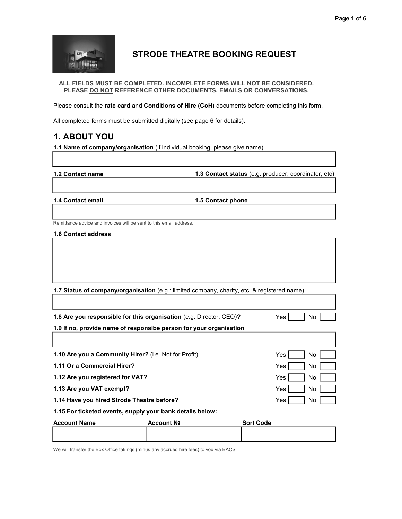

# STRODE THEATRE BOOKING REQUEST

ALL FIELDS MUST BE COMPLETED. INCOMPLETE FORMS WILL NOT BE CONSIDERED. PLEASE DO NOT REFERENCE OTHER DOCUMENTS, EMAILS OR CONVERSATIONS.

Please consult the rate card and Conditions of Hire (CoH) documents before completing this form.

All completed forms must be submitted digitally (see page 6 for details).

# 1. ABOUT YOU

1.1 Name of company/organisation (if individual booking, please give name)

| 1.2 Contact name                                                                            |            | 1.3 Contact status (e.g. producer, coordinator, etc) |                  |     |     |
|---------------------------------------------------------------------------------------------|------------|------------------------------------------------------|------------------|-----|-----|
| 1.4 Contact email                                                                           |            | 1.5 Contact phone                                    |                  |     |     |
| Remittance advice and invoices will be sent to this email address.                          |            |                                                      |                  |     |     |
| <b>1.6 Contact address</b>                                                                  |            |                                                      |                  |     |     |
|                                                                                             |            |                                                      |                  |     |     |
|                                                                                             |            |                                                      |                  |     |     |
| 1.7 Status of company/organisation (e.g.: limited company, charity, etc. & registered name) |            |                                                      |                  |     |     |
|                                                                                             |            |                                                      |                  |     |     |
| 1.8 Are you responsible for this organisation (e.g. Director, CEO)?<br>Yes<br>No            |            |                                                      |                  |     |     |
| 1.9 If no, provide name of responsibe person for your organisation                          |            |                                                      |                  |     |     |
| 1.10 Are you a Community Hirer? (i.e. Not for Profit)                                       |            |                                                      |                  | Yes | No. |
| 1.11 Or a Commercial Hirer?                                                                 |            |                                                      |                  | Yes | No  |
| 1.12 Are you registered for VAT?                                                            |            |                                                      |                  | Yes | No  |
| 1.13 Are you VAT exempt?<br>Yes<br>No                                                       |            |                                                      |                  |     |     |
| 1.14 Have you hired Strode Theatre before?<br>Yes<br>No                                     |            |                                                      |                  |     |     |
| 1.15 For ticketed events, supply your bank details below:                                   |            |                                                      |                  |     |     |
| <b>Account Name</b>                                                                         | Account Nº |                                                      | <b>Sort Code</b> |     |     |
|                                                                                             |            |                                                      |                  |     |     |

We will transfer the Box Office takings (minus any accrued hire fees) to you via BACS.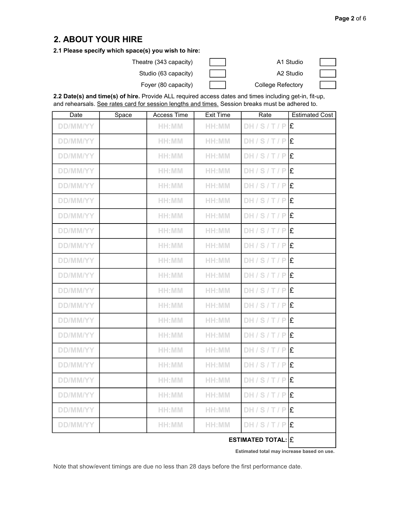#### 2. ABOUT YOUR HIRE

#### 2.1 Please specify which space(s) you wish to hire:

Theatre (343 capacity) Theatre (343 capacity) and the Manus A1 Studio

|  | ___ |    |
|--|-----|----|
|  |     | __ |
|  |     |    |
|  |     |    |

Studio (63 capacity) and all the Capacity A2 Studio

Foyer (80 capacity) **College Refectory** 

2.2 Date(s) and time(s) of hire. Provide ALL required access dates and times including get-in, fit-up, and rehearsals. See rates card for session lengths and times. Session breaks must be adhered to.

| <b>Date</b>     | Space | Access Time | <b>Exit Time</b> | Rate                    | <b>Estimated Cost</b> |
|-----------------|-------|-------------|------------------|-------------------------|-----------------------|
| <b>DD/MM/YY</b> |       | HH:MM       | HH:MM            | DH/S/T/P                | Ι£                    |
| <b>DD/MM/YY</b> |       | HH:MM       | HH:MM            | DH/ST/PIE               |                       |
| <b>DD/MM/YY</b> |       | HH:MM       | HH:MM            | DH/S/T/PE               |                       |
| <b>DD/MM/YY</b> |       | HH:MM       | HH:MM            | DH/S/T/P                | Ι£                    |
| <b>DD/MM/YY</b> |       | HH:MM       | HH:MM            | DH/S/T/P                | Ι£                    |
| <b>DD/MM/YY</b> |       | HH:MM       | HH:MM            | DH/S/T/P                | Ι£                    |
| <b>DD/MM/YY</b> |       | $H H$ : MM  | HH:MM            | $DH/S/T/P$ $E$          |                       |
| <b>DD/MM/YY</b> |       | HH:MM       | HH:MM            | DH/S/T/P                | Ι£                    |
| <b>DD/MM/YY</b> |       | HH:MM       | HH:MM            | DH/S/T/P                | Ι£                    |
| <b>DD/MM/YY</b> |       | HH:MM       | HH:MM            | $DH/S/T/P$ <sup>2</sup> |                       |
| <b>DD/MM/YY</b> |       | HH:MM       | HH:MM            | DH/S/T/P                | Ι£                    |
| <b>DD/MM/YY</b> |       | HH:MM       | HH:MM            | $DH/S/T/P$ $E$          |                       |
| <b>DD/MM/YY</b> |       | HH:MM       | HH:MM            | $DH/S/T/P$ $E$          |                       |
| <b>DD/MM/YY</b> |       | HH:MM       | HH:MM            | $DH/S/T/P$ $E$          |                       |
| <b>DD/MM/YY</b> |       | HH:MM       | HH:MM            | DH/S/T/P                | Ι£                    |
| <b>DD/MM/YY</b> |       | HH:MM       | HH:MM            | DH/S/T/P                | Ι£                    |
| <b>DD/MM/YY</b> |       | HH:MM       | HH:MM            | $DH/S/T/P$ $E$          |                       |
| <b>DD/MM/YY</b> |       | HH:MM       | HH:MM            | DH/S/T/P                | Ι£                    |
| <b>DD/MM/YY</b> |       | HH:MM       | HH:MM            | DH/S/T/P                | Ι£                    |
| <b>DD/MM/YY</b> |       | HH:MM       | HH:MM            | $DH/S/T/P$ <sup>2</sup> |                       |
| <b>DD/MM/YY</b> |       | HH:MM       | HH:MM            | DH/S/T/P                | Ι£                    |
|                 |       |             |                  |                         |                       |

ESTIMATED TOTAL:  $|\mathbf{f}|$ 

Estimated total may increase based on use.

Note that show/event timings are due no less than 28 days before the first performance date.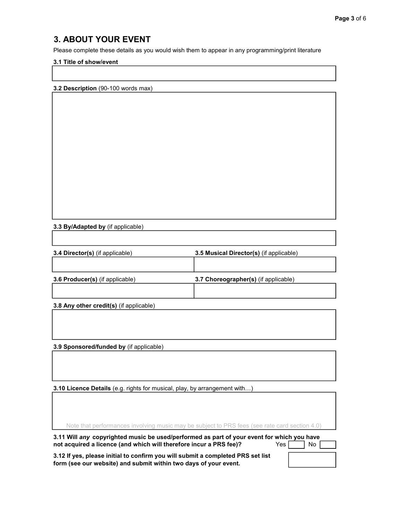#### 3. ABOUT YOUR EVENT

Please complete these details as you would wish them to appear in any programming/print literature

#### 3.1 Title of show/event

3.2 Description (90-100 words max)

#### 3.3 By/Adapted by (if applicable)

| <b>3.4 Director(s)</b> (if applicable) | 3.5 Musical Director(s) (if applicable) |
|----------------------------------------|-----------------------------------------|
|                                        |                                         |
| <b>3.6 Producer(s)</b> (if applicable) | 3.7 Choreographer(s) (if applicable)    |
|                                        |                                         |

3.8 Any other credit(s) (if applicable)

3.9 Sponsored/funded by (if applicable)

3.10 Licence Details (e.g. rights for musical, play, by arrangement with…)

|  | Note that performances involving music may be subject to PRS fees (see rate card section 4.0) |
|--|-----------------------------------------------------------------------------------------------|
|  |                                                                                               |
|  |                                                                                               |

3.11 Will any copyrighted music be used/performed as part of your event for which you have not acquired a licence (and which will therefore incur a PRS fee)?  $Yes \boxed{\phantom{0}}$  No

3.12 If yes, please initial to confirm you will submit a completed PRS set list form (see our website) and submit within two days of your event.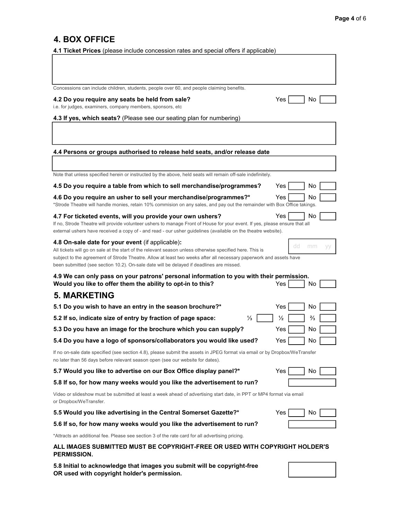## 4. BOX OFFICE

4.1 Ticket Prices (please include concession rates and special offers if applicable)

| Concessions can include children, students, people over 60, and people claiming benefits.                                                                                                                                                                                                                                                                                      |                                |
|--------------------------------------------------------------------------------------------------------------------------------------------------------------------------------------------------------------------------------------------------------------------------------------------------------------------------------------------------------------------------------|--------------------------------|
| 4.2 Do you require any seats be held from sale?<br>i.e. for judges, examiners, company members, sponsors, etc                                                                                                                                                                                                                                                                  | Yes<br>No                      |
| 4.3 If yes, which seats? (Please see our seating plan for numbering)                                                                                                                                                                                                                                                                                                           |                                |
|                                                                                                                                                                                                                                                                                                                                                                                |                                |
| 4.4 Persons or groups authorised to release held seats, and/or release date                                                                                                                                                                                                                                                                                                    |                                |
|                                                                                                                                                                                                                                                                                                                                                                                |                                |
| Note that unless specified herein or instructed by the above, held seats will remain off-sale indefinitely.                                                                                                                                                                                                                                                                    |                                |
| 4.5 Do you require a table from which to sell merchandise/programmes?                                                                                                                                                                                                                                                                                                          | Yes<br>No                      |
| 4.6 Do you require an usher to sell your merchandise/programmes?*<br>*Strode Theatre will handle monies, retain 10% commision on any sales, and pay out the remainder with Box Office takings.                                                                                                                                                                                 | Yes<br>No                      |
|                                                                                                                                                                                                                                                                                                                                                                                | No<br>Yes                      |
| 4.7 For ticketed events, will you provide your own ushers?<br>If no, Strode Theatre will provide volunteer ushers to manage Front of House for your event. If yes, please ensure that all<br>external ushers have received a copy of - and read - our usher guidelines (available on the theatre website).                                                                     |                                |
| 4.8 On-sale date for your event (if applicable):<br>All tickets will go on sale at the start of the relevant season unless otherwise specified here. This is<br>subject to the agreement of Strode Theatre. Allow at least two weeks after all necessary paperwork and assets have<br>been submitted (see section 10.2). On-sale date will be delayed if deadlines are missed. | dd<br>mm                       |
|                                                                                                                                                                                                                                                                                                                                                                                |                                |
| 4.9 We can only pass on your patrons' personal information to you with their permission.<br>Would you like to offer them the ability to opt-in to this?                                                                                                                                                                                                                        | Yes<br>No                      |
| <b>5. MARKETING</b>                                                                                                                                                                                                                                                                                                                                                            |                                |
| 5.1 Do you wish to have an entry in the season brochure?*                                                                                                                                                                                                                                                                                                                      | Yes<br>No                      |
| 5.2 If so, indicate size of entry by fraction of page space:<br>⅓                                                                                                                                                                                                                                                                                                              | $\frac{1}{2}$<br>$\frac{2}{3}$ |
| 5.3 Do you have an image for the brochure which you can supply?                                                                                                                                                                                                                                                                                                                | Yes<br>No                      |
| 5.4 Do you have a logo of sponsors/collaborators you would like used?                                                                                                                                                                                                                                                                                                          | Yes<br>No                      |
| If no on-sale date specified (see section 4.8), please submit the assets in JPEG format via email or by Dropbox/WeTransfer<br>no later than 56 days before relevant season open (see our website for dates).                                                                                                                                                                   |                                |
| 5.7 Would you like to advertise on our Box Office display panel?*                                                                                                                                                                                                                                                                                                              | Yes<br>No                      |
| 5.8 If so, for how many weeks would you like the advertisement to run?                                                                                                                                                                                                                                                                                                         |                                |
| Video or slideshow must be submitted at least a week ahead of advertising start date, in PPT or MP4 format via email<br>or Dropbox/WeTransfer.                                                                                                                                                                                                                                 |                                |
| 5.5 Would you like advertising in the Central Somerset Gazette?*                                                                                                                                                                                                                                                                                                               | Yes<br>No.                     |
| 5.6 If so, for how many weeks would you like the advertisement to run?                                                                                                                                                                                                                                                                                                         |                                |
| *Attracts an additional fee. Please see section 3 of the rate card for all advertising pricing.                                                                                                                                                                                                                                                                                |                                |
| ALL IMAGES SUBMITTED MUST BE COPYRIGHT-FREE OR USED WITH COPYRIGHT HOLDER'S<br><b>PERMISSION.</b>                                                                                                                                                                                                                                                                              |                                |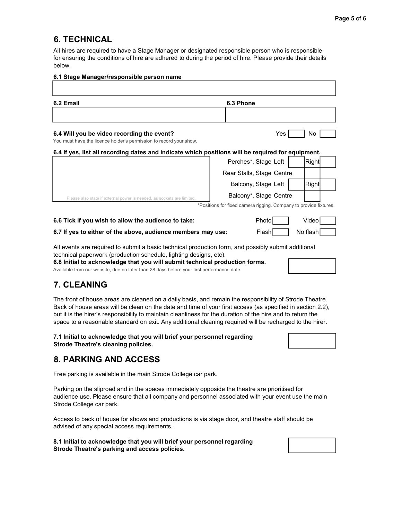#### 6. TECHNICAL

All hires are required to have a Stage Manager or designated responsible person who is responsible for ensuring the conditions of hire are adhered to during the period of hire. Please provide their details below.

| 6.1 Stage Manager/responsible person name                                                                        |                                                                   |              |  |
|------------------------------------------------------------------------------------------------------------------|-------------------------------------------------------------------|--------------|--|
|                                                                                                                  |                                                                   |              |  |
| 6.2 Email                                                                                                        | 6.3 Phone                                                         |              |  |
|                                                                                                                  |                                                                   |              |  |
| 6.4 Will you be video recording the event?<br>You must have the licence holder's permission to record your show. | Yes.                                                              | No.          |  |
| 6.4 If yes, list all recording dates and indicate which positions will be required for equipment.                |                                                                   |              |  |
|                                                                                                                  | Perches*, Stage Left                                              | <b>Right</b> |  |
|                                                                                                                  | Rear Stalls, Stage Centre                                         |              |  |
|                                                                                                                  | Balcony, Stage Left                                               | <b>Right</b> |  |
| Please also state if external power is needed, as sockets are limited.                                           | Balcony*, Stage Centre                                            |              |  |
|                                                                                                                  | *Positions for fixed camera rigging. Company to provide fixtures. |              |  |
| 6.6 Tick if you wish to allow the audience to take:                                                              | Photo                                                             | Videol       |  |

6.7 If yes to either of the above, audience members may use: Flash Result No flash

All events are required to submit a basic technical production form, and possibly submit additional technical paperwork (production schedule, lighting designs, etc).

6.8 Initial to acknowledge that you will submit technical production forms.

Available from our website, due no later than 28 days before your first performance date.

# 7. CLEANING

The front of house areas are cleaned on a daily basis, and remain the responsibility of Strode Theatre. Back of house areas will be clean on the date and time of your first access (as specified in section 2.2), but it is the hirer's responsibility to maintain cleanliness for the duration of the hire and to return the space to a reasonable standard on exit. Any additional cleaning required will be recharged to the hirer.

#### 7.1 Initial to acknowledge that you will brief your personnel regarding Strode Theatre's cleaning policies.

#### 8. PARKING AND ACCESS

Free parking is available in the main Strode College car park.

Parking on the sliproad and in the spaces immediately opposide the theatre are prioritised for audience use. Please ensure that all company and personnel associated with your event use the main Strode College car park.

Access to back of house for shows and productions is via stage door, and theatre staff should be advised of any special access requirements.

8.1 Initial to acknowledge that you will brief your personnel regarding Strode Theatre's parking and access policies.



|    | .      |  |
|----|--------|--|
| еп | Riahtl |  |